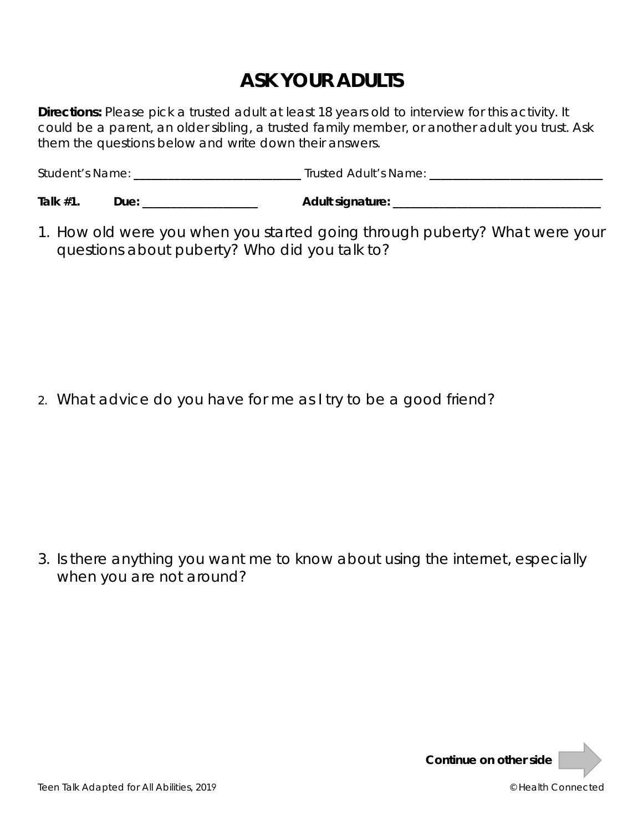## **ASK YOUR ADULTS**

**Directions:** Please pick a trusted adult at least 18 years old to interview for this activity. It could be a parent, an older sibling, a trusted family member, or another adult you trust. Ask them the questions below and write down their answers.

| <b>Student's Name:</b> | Trusted Adult's Name: |
|------------------------|-----------------------|
|                        |                       |

| Talk #1 | ים ונ<br> | <b>Adult signature:</b><br>- - - |
|---------|-----------|----------------------------------|
|---------|-----------|----------------------------------|

1. How old were you when you started going through puberty? What were your questions about puberty? Who did you talk to?

2. What advice do you have for me as I try to be a good friend?

3. Is there anything you want me to know about using the internet, especially when you are not around?